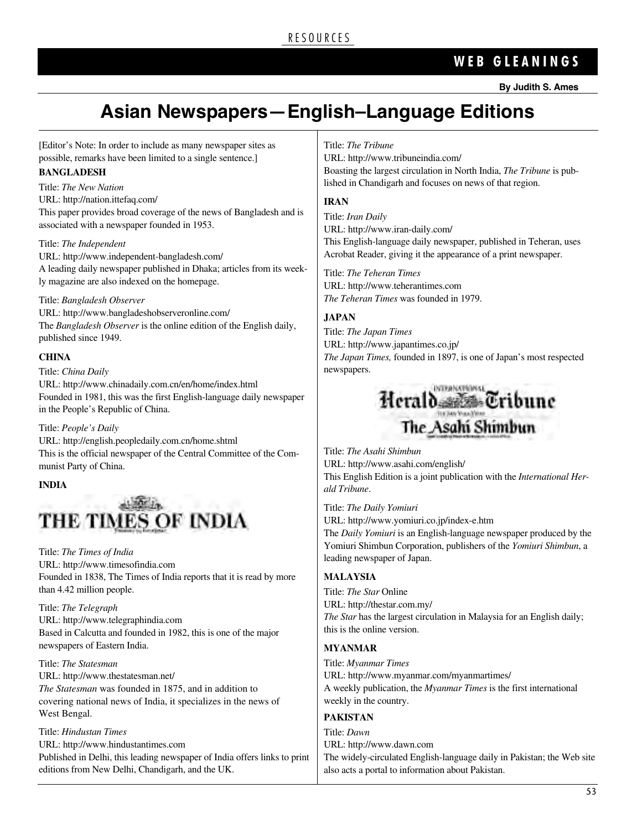### **W E B G L E A N I N G S**

## **Asian newspapers—english–language editions**

[Editor's Note: In order to include as many newspaper sites as possible, remarks have been limited to a single sentence.]

### **BANGLADESH**

Title: *The New Nation* URL: http://nation.ittefaq.com/ This paper provides broad coverage of the news of Bangladesh and is associated with a newspaper founded in 1953.

### Title: *The Independent*

URL: http://www.independent-bangladesh.com/ A leading daily newspaper published in Dhaka; articles from its weekly magazine are also indexed on the homepage.

### Title: *Bangladesh Observer*

URL: http://www.bangladeshobserveronline.com/ The *Bangladesh Observer* is the online edition of the English daily, published since 1949.

### **CHINA**

Title: *China Daily* URL: http://www.chinadaily.com.cn/en/home/index.html Founded in 1981, this was the first English-language daily newspaper in the People's Republic of China.

### Title: *People's Daily*

URL: http://english.peopledaily.com.cn/home.shtml This is the official newspaper of the Central Committee of the Communist Party of China.

### **INDIA**

# THE TIMES OF INDIA

Title: *The Times of India* URL: http://www.timesofindia.com Founded in 1838, The Times of India reports that it is read by more than 4.42 million people.

Title: *The Telegraph* URL: http://www.telegraphindia.com Based in Calcutta and founded in 1982, this is one of the major newspapers of Eastern India.

Title: *The Statesman* URL: http://www.thestatesman.net/ *The Statesman* was founded in 1875, and in addition to covering national news of India, it specializes in the news of West Bengal.

Title: *Hindustan Times* URL: http://www.hindustantimes.com Published in Delhi, this leading newspaper of India offers links to print editions from New Delhi, Chandigarh, and the UK.

### Title: *The Tribune*

URL: http://www.tribuneindia.com/ Boasting the largest circulation in North India, *The Tribune* is published in Chandigarh and focuses on news of that region.

### **IRAN**

Title: *Iran Daily* URL: http://www.iran-daily.com/ This English-language daily newspaper, published in Teheran, uses Acrobat Reader, giving it the appearance of a print newspaper.

Title: *The Teheran Times* URL: http://www.teherantimes.com *The Teheran Times* was founded in 1979.

### **JAPAN**

Title: *The Japan Times* URL: http://www.japantimes.co.jp/ *The Japan Times,* founded in 1897, is one of Japan's most respected newspapers.



Title: *The Asahi Shimbun* URL: http://www.asahi.com/english/ This English Edition is a joint publication with the *International Herald Tribune*.

Title: *The Daily Yomiuri*

URL: http://www.yomiuri.co.jp/index-e.htm

The *Daily Yomiuri* is an English-language newspaper produced by the Yomiuri Shimbun Corporation, publishers of the *Yomiuri Shimbun*, a leading newspaper of Japan.

### **MALAYSIA**

Title: *The Star* Online URL: http://thestar.com.my/ *The Star* has the largest circulation in Malaysia for an English daily; this is the online version.

### **MYANMAR**

Title: *Myanmar Times* URL: http://www.myanmar.com/myanmartimes/ A weekly publication, the *Myanmar Times* is the first international weekly in the country.

### **PAKISTAN**

Title: *Dawn* URL: http://www.dawn.com The widely-circulated English-language daily in Pakistan; the Web site also acts a portal to information about Pakistan.